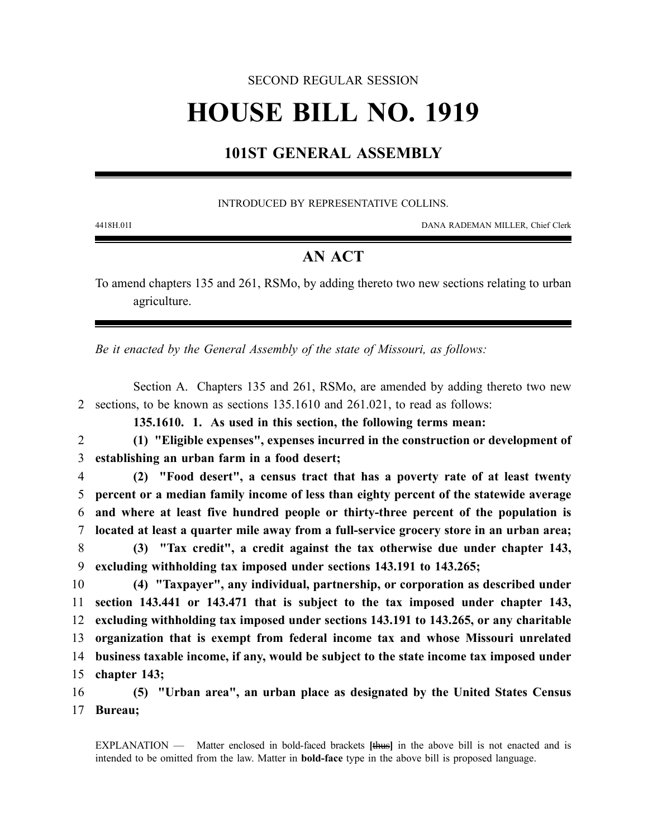### SECOND REGULAR SESSION

# **HOUSE BILL NO. 1919**

## **101ST GENERAL ASSEMBLY**

#### INTRODUCED BY REPRESENTATIVE COLLINS.

4418H.01I DANA RADEMAN MILLER, Chief Clerk

## **AN ACT**

To amend chapters 135 and 261, RSMo, by adding thereto two new sections relating to urban agriculture.

*Be it enacted by the General Assembly of the state of Missouri, as follows:*

Section A. Chapters 135 and 261, RSMo, are amended by adding thereto two new 2 sections, to be known as sections 135.1610 and 261.021, to read as follows:

**135.1610. 1. As used in this section, the following terms mean:**

2 **(1) "Eligible expenses", expenses incurred in the construction or development of** 3 **establishing an urban farm in a food desert;**

 **(2) "Food desert", a census tract that has a poverty rate of at least twenty percent or a median family income of less than eighty percent of the statewide average and where at least five hundred people or thirty-three percent of the population is located at least a quarter mile away from a full-service grocery store in an urban area; (3) "Tax credit", a credit against the tax otherwise due under chapter 143,**

9 **excluding withholding tax imposed under sections 143.191 to 143.265;**

 **(4) "Taxpayer", any individual, partnership, or corporation as described under section 143.441 or 143.471 that is subject to the tax imposed under chapter 143, excluding withholding tax imposed under sections 143.191 to 143.265, or any charitable organization that is exempt from federal income tax and whose Missouri unrelated business taxable income, if any, would be subject to the state income tax imposed under chapter 143;**

16 **(5) "Urban area", an urban place as designated by the United States Census** 17 **Bureau;**

EXPLANATION — Matter enclosed in bold-faced brackets **[**thus**]** in the above bill is not enacted and is intended to be omitted from the law. Matter in **bold-face** type in the above bill is proposed language.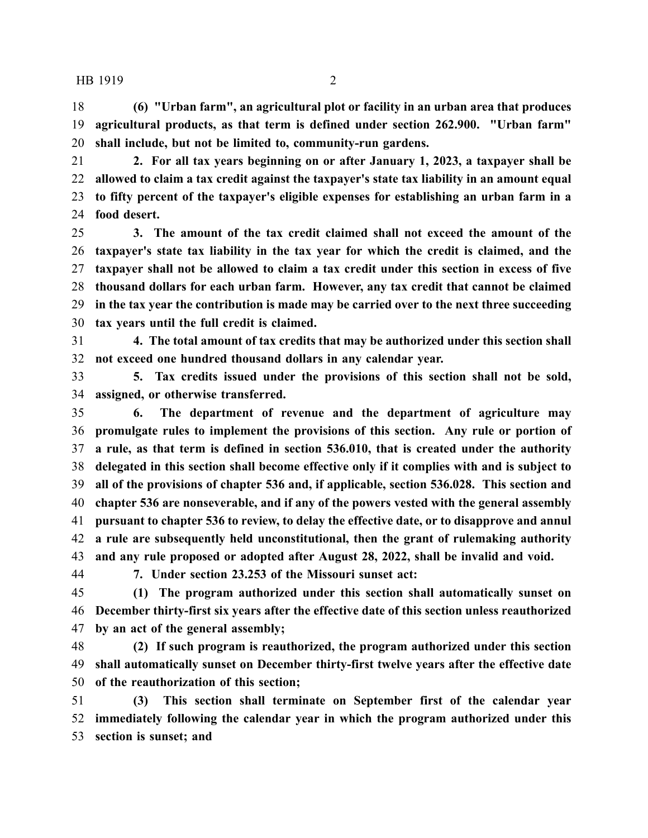#### HB 1919 2

 **(6) "Urban farm", an agricultural plot or facility in an urban area that produces agricultural products, as that term is defined under section 262.900. "Urban farm" shall include, but not be limited to, community-run gardens.**

 **2. For all tax years beginning on or after January 1, 2023, a taxpayer shall be allowed to claim a tax credit against the taxpayer's state tax liability in an amount equal to fifty percent of the taxpayer's eligible expenses for establishing an urban farm in a food desert.**

 **3. The amount of the tax credit claimed shall not exceed the amount of the taxpayer's state tax liability in the tax year for which the credit is claimed, and the taxpayer shall not be allowed to claim a tax credit under this section in excess of five thousand dollars for each urban farm. However, any tax credit that cannot be claimed in the tax year the contribution is made may be carried over to the next three succeeding tax years until the full credit is claimed.**

 **4. The total amount of tax credits that may be authorized under this section shall not exceed one hundred thousand dollars in any calendar year.**

 **5. Tax credits issued under the provisions of this section shall not be sold, assigned, or otherwise transferred.**

 **6. The department of revenue and the department of agriculture may promulgate rules to implement the provisions of this section. Any rule or portion of a rule, as that term is defined in section 536.010, that is created under the authority delegated in this section shall become effective only if it complies with and is subject to all of the provisions of chapter 536 and, if applicable, section 536.028. This section and chapter 536 are nonseverable, and if any of the powers vested with the general assembly pursuant to chapter 536 to review, to delay the effective date, or to disapprove and annul a rule are subsequently held unconstitutional, then the grant of rulemaking authority and any rule proposed or adopted after August 28, 2022, shall be invalid and void.**

**7. Under section 23.253 of the Missouri sunset act:**

 **(1) The program authorized under this section shall automatically sunset on December thirty-first six years after the effective date of this section unless reauthorized by an act of the general assembly;**

 **(2) If such program is reauthorized, the program authorized under this section shall automatically sunset on December thirty-first twelve years after the effective date of the reauthorization of this section;**

 **(3) This section shall terminate on September first of the calendar year immediately following the calendar year in which the program authorized under this section is sunset; and**